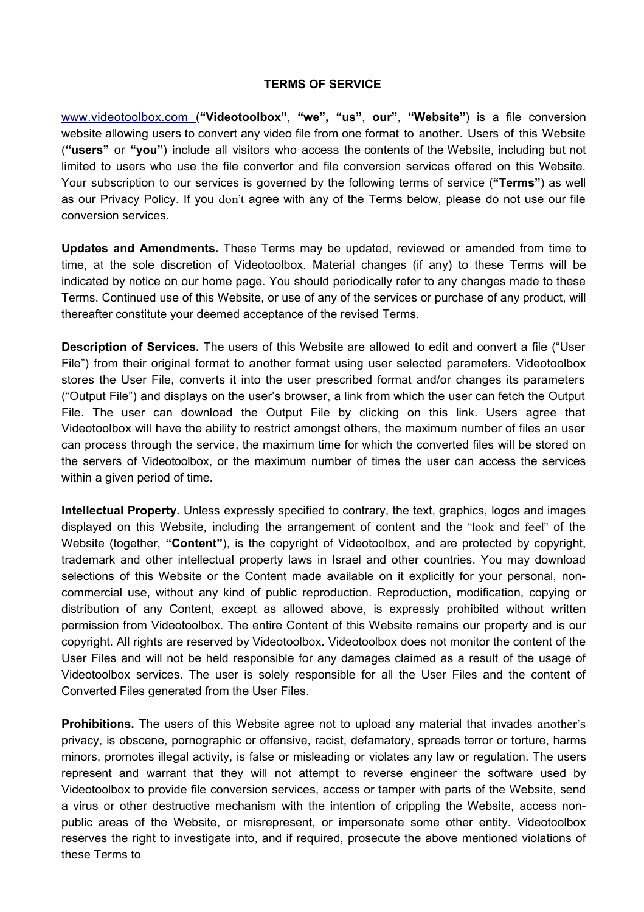## **TERMS OF SERVICE**

[www.videotoolbox.com \(](http://www.convertfiles.com/)**"Videotoolbox"**, **"we", "us"**, **our"**, **"Website"**) is a file conversion website allowing users to convert any video file from one format to another. Users of this Website (**"users"** or **"you"**) include all visitors who access the contents of the Website, including but not limited to users who use the file convertor and file conversion services offered on this Website. Your subscription to our services is governed by the following terms of service (**"Terms"**) as well as our Privacy Policy. If you don't agree with any of the Terms below, please do not use our file conversion services.

**Updates and Amendments.** These Terms may be updated, reviewed or amended from time to time, at the sole discretion of Videotoolbox. Material changes (if any) to these Terms will be indicated by notice on our home page. You should periodically refer to any changes made to these Terms. Continued use of this Website, or use of any of the services or purchase of any product, will thereafter constitute your deemed acceptance of the revised Terms.

**Description of Services.** The users of this Website are allowed to edit and convert a file ("User File") from their original format to another format using user selected parameters. Videotoolbox stores the User File, converts it into the user prescribed format and/or changes its parameters ("Output File") and displays on the user's browser, a link from which the user can fetch the Output File. The user can download the Output File by clicking on this link. Users agree that Videotoolbox will have the ability to restrict amongst others, the maximum number of files an user can process through the service, the maximum time for which the converted files will be stored on the servers of Videotoolbox, or the maximum number of times the user can access the services within a given period of time.

**Intellectual Property.** Unless expressly specified to contrary, the text, graphics, logos and images displayed on this Website, including the arrangement of content and the "look and feel" of the Website (together, **"Content"**), is the copyright of Videotoolbox, and are protected by copyright, trademark and other intellectual property laws in Israel and other countries. You may download selections of this Website or the Content made available on it explicitly for your personal, noncommercial use, without any kind of public reproduction. Reproduction, modification, copying or distribution of any Content, except as allowed above, is expressly prohibited without written permission from Videotoolbox. The entire Content of this Website remains our property and is our copyright. All rights are reserved by Videotoolbox. Videotoolbox does not monitor the content of the User Files and will not be held responsible for any damages claimed as a result of the usage of Videotoolbox services. The user is solely responsible for all the User Files and the content of Converted Files generated from the User Files.

**Prohibitions.** The users of this Website agree not to upload any material that invades another's privacy, is obscene, pornographic or offensive, racist, defamatory, spreads terror or torture, harms minors, promotes illegal activity, is false or misleading or violates any law or regulation. The users represent and warrant that they will not attempt to reverse engineer the software used by Videotoolbox to provide file conversion services, access or tamper with parts of the Website, send a virus or other destructive mechanism with the intention of crippling the Website, access nonpublic areas of the Website, or misrepresent, or impersonate some other entity. Videotoolbox reserves the right to investigate into, and if required, prosecute the above mentioned violations of these Terms to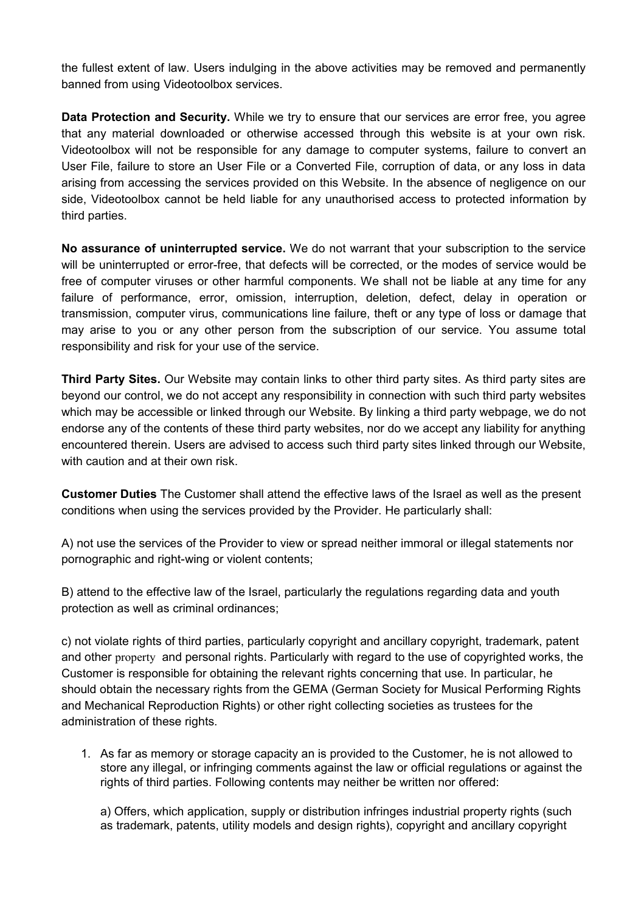the fullest extent of law. Users indulging in the above activities may be removed and permanently banned from using Videotoolbox services.

**Data Protection and Security.** While we try to ensure that our services are error free, you agree that any material downloaded or otherwise accessed through this website is at your own risk. Videotoolbox will not be responsible for any damage to computer systems, failure to convert an User File, failure to store an User File or a Converted File, corruption of data, or any loss in data arising from accessing the services provided on this Website. In the absence of negligence on our side, Videotoolbox cannot be held liable for any unauthorised access to protected information by third parties.

**No assurance of uninterrupted service.** We do not warrant that your subscription to the service will be uninterrupted or error-free, that defects will be corrected, or the modes of service would be free of computer viruses or other harmful components. We shall not be liable at any time for any failure of performance, error, omission, interruption, deletion, defect, delay in operation or transmission, computer virus, communications line failure, theft or any type of loss or damage that may arise to you or any other person from the subscription of our service. You assume total responsibility and risk for your use of the service.

**Third Party Sites.** Our Website may contain links to other third party sites. As third party sites are beyond our control, we do not accept any responsibility in connection with such third party websites which may be accessible or linked through our Website. By linking a third party webpage, we do not endorse any of the contents of these third party websites, nor do we accept any liability for anything encountered therein. Users are advised to access such third party sites linked through our Website, with caution and at their own risk.

**Customer Duties** The Customer shall attend the effective laws of the Israel as well as the present conditions when using the services provided by the Provider. He particularly shall:

A) not use the services of the Provider to view or spread neither immoral or illegal statements nor pornographic and right-wing or violent contents;

B) attend to the effective law of the Israel, particularly the regulations regarding data and youth protection as well as criminal ordinances;

c) not violate rights of third parties, particularly copyright and ancillary copyright, trademark, patent and other prоperty and personal rights. Particularly with regard to the use of copyrighted works, the Customer is responsible for obtaining the relevant rights concerning that use. In particular, he should obtain the necessary rights from the GEMA (German Society for Musical Performing Rights and Mechanical Reproduction Rights) or other right collecting societies as trustees for the administration of these rights.

1. As far as memory or storage capacity an is provided to the Customer, he is not allowed to store any illegal, or infringing comments against the law or official regulations or against the rights of third parties. Following contents may neither be written nor offered:

a) Offers, which application, supply or distribution infringes industrial property rights (such as trademark, patents, utility models and design rights), copyright and ancillary copyright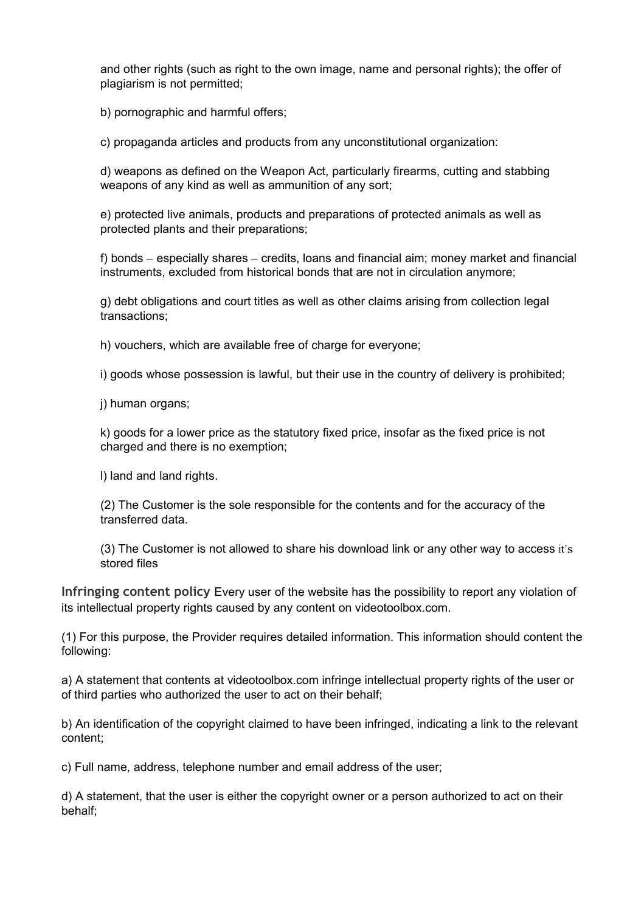and other rights (such as right to the own image, name and personal rights); the offer of plagiarism is not permitted;

b) pornographic and harmful offers;

c) propaganda articles and products from any unconstitutional organization:

d) weapons as defined on the Weapon Act, particularly firearms, cutting and stabbing weapons of any kind as well as ammunition of any sort;

e) protected live animals, products and preparations of protected animals as well as protected plants and their preparations;

f) bonds – especially shares – credits, loans and financial aim; money market and financial instruments, excluded from historical bonds that are not in circulation anymore;

g) debt obligations and court titles as well as other claims arising from collection legal transactions;

h) vouchers, which are available free of charge for everyone;

i) goods whose possession is lawful, but their use in the country of delivery is prohibited;

j) human organs;

k) goods for a lower price as the statutory fixed price, insofar as the fixed price is not charged and there is no exemption;

l) land and land rights.

(2) The Customer is the sole responsible for the contents and for the accuracy of the transferred data.

(3) The Customer is not allowed to share his download link or any other way to access it's stored files

**Infringing content policy** Every user of the website has the possibility to report any violation of its intellectual property rights caused by any content on videotoolbox.com.

(1) For this purpose, the Provider requires detailed information. This information should content the following:

a) A statement that contents at videotoolbox.com infringe intellectual property rights of the user or of third parties who authorized the user to act on their behalf;

b) An identification of the copyright claimed to have been infringed, indicating a link to the relevant content;

c) Full name, address, telephone number and email address of the user;

d) A statement, that the user is either the copyright owner or a person authorized to act on their behalf;